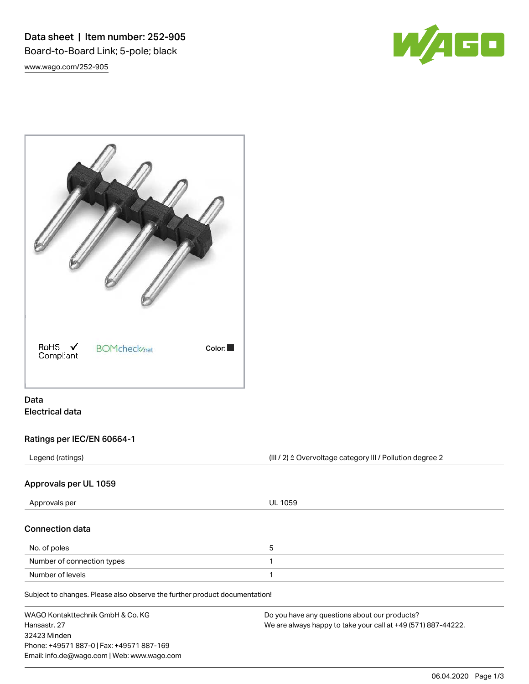Data sheet | Item number: 252-905 Board-to-Board Link; 5-pole; black [www.wago.com/252-905](http://www.wago.com/252-905)





# Data Electrical data

## Ratings per IEC/EN 60664-1

Legend (ratings) and intervalse are external to the CHI / 2) ≙ Overvoltage category III / Pollution degree 2

### Approvals per UL 1059

| Approvals per                                                              | <b>UL 1059</b> |  |
|----------------------------------------------------------------------------|----------------|--|
| <b>Connection data</b>                                                     |                |  |
| No. of poles                                                               | 5              |  |
| Number of connection types                                                 |                |  |
| Number of levels                                                           |                |  |
| Subject to changes. Please also observe the further product documentation! |                |  |

| WAGO Kontakttechnik GmbH & Co. KG           | Do you have any questions about our products?                 |
|---------------------------------------------|---------------------------------------------------------------|
| Hansastr, 27                                | We are always happy to take your call at +49 (571) 887-44222. |
| 32423 Minden                                |                                                               |
| Phone: +49571 887-0   Fax: +49571 887-169   |                                                               |
| Email: info.de@wago.com   Web: www.wago.com |                                                               |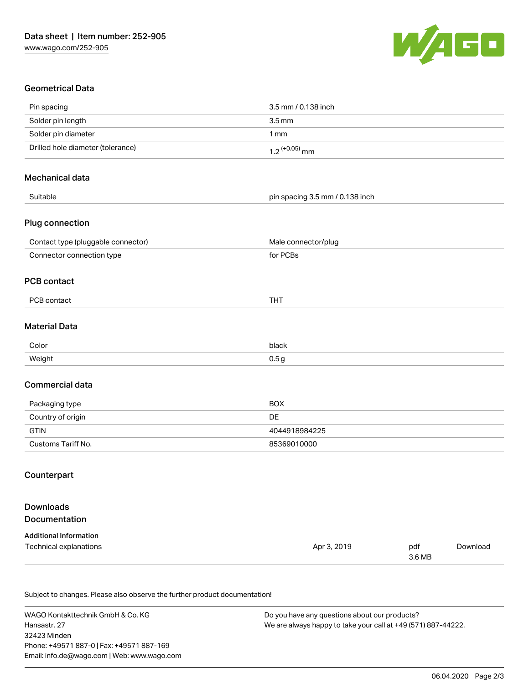

## Geometrical Data

| Pin spacing                        | 3.5 mm / 0.138 inch             |               |          |
|------------------------------------|---------------------------------|---------------|----------|
| Solder pin length                  | $3.5 \, \text{mm}$              |               |          |
| Solder pin diameter                | 1mm                             |               |          |
| Drilled hole diameter (tolerance)  | $1.2$ (+0.05) mm                |               |          |
| Mechanical data                    |                                 |               |          |
| Suitable                           | pin spacing 3.5 mm / 0.138 inch |               |          |
| Plug connection                    |                                 |               |          |
| Contact type (pluggable connector) | Male connector/plug             |               |          |
| Connector connection type          | for PCBs                        |               |          |
| <b>PCB contact</b>                 |                                 |               |          |
| PCB contact                        | <b>THT</b>                      |               |          |
| <b>Material Data</b>               |                                 |               |          |
| Color                              | black                           |               |          |
| Weight                             | 0.5 <sub>g</sub>                |               |          |
| Commercial data                    |                                 |               |          |
| Packaging type                     | <b>BOX</b>                      |               |          |
| Country of origin                  | DE                              |               |          |
| <b>GTIN</b>                        | 4044918984225                   |               |          |
| Customs Tariff No.                 | 85369010000                     |               |          |
| Counterpart                        |                                 |               |          |
| <b>Downloads</b><br>Documentation  |                                 |               |          |
| <b>Additional Information</b>      |                                 |               |          |
| Technical explanations             | Apr 3, 2019                     | pdf<br>3.6 MB | Download |
|                                    |                                 |               |          |

Subject to changes. Please also observe the further product documentation!

WAGO Kontakttechnik GmbH & Co. KG Hansastr. 27 32423 Minden Phone: +49571 887-0 | Fax: +49571 887-169 Email: info.de@wago.com | Web: www.wago.com

Do you have any questions about our products? We are always happy to take your call at +49 (571) 887-44222.